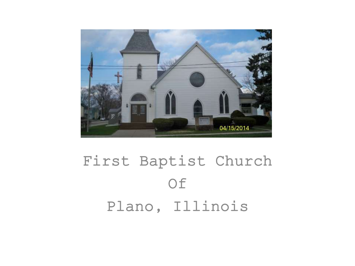

### First Baptist Church Of Plano, Illinois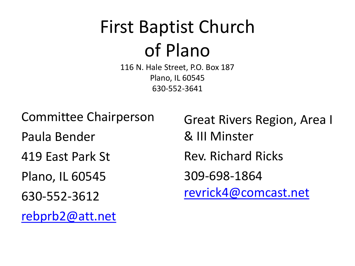# First Baptist Church of Plano

116 N. Hale Street, P.O. Box 187 Plano, IL 60545 630-552-3641

Committee Chairperson

Paula Bender

419 East Park St

Plano, IL 60545

630-552-3612

[rebprb2@att.net](mailto:rebprb2@att.net)

Great Rivers Region, Area I & III Minster Rev. Richard Ricks 309-698-1864 [revrick4@comcast.net](mailto:revrick4@comcast.net)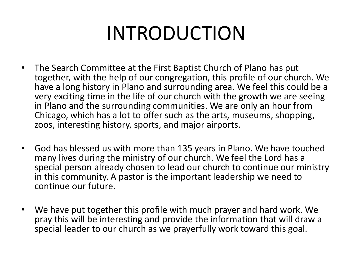# INTRODUCTION

- The Search Committee at the First Baptist Church of Plano has put together, with the help of our congregation, this profile of our church. We have a long history in Plano and surrounding area. We feel this could be a very exciting time in the life of our church with the growth we are seeing in Plano and the surrounding communities. We are only an hour from Chicago, which has a lot to offer such as the arts, museums, shopping, zoos, interesting history, sports, and major airports.
- God has blessed us with more than 135 years in Plano. We have touched many lives during the ministry of our church. We feel the Lord has a special person already chosen to lead our church to continue our ministry in this community. A pastor is the important leadership we need to continue our future.
- We have put together this profile with much prayer and hard work. We pray this will be interesting and provide the information that will draw a special leader to our church as we prayerfully work toward this goal.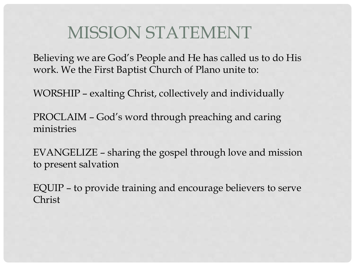### MISSION STATEMENT

Believing we are God's People and He has called us to do His work. We the First Baptist Church of Plano unite to:

WORSHIP – exalting Christ, collectively and individually

PROCLAIM – God's word through preaching and caring ministries

EVANGELIZE – sharing the gospel through love and mission to present salvation

EQUIP – to provide training and encourage believers to serve Christ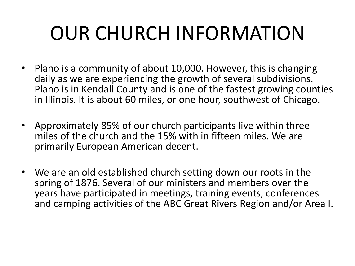# OUR CHURCH INFORMATION

- Plano is a community of about 10,000. However, this is changing daily as we are experiencing the growth of several subdivisions. Plano is in Kendall County and is one of the fastest growing counties in Illinois. It is about 60 miles, or one hour, southwest of Chicago.
- Approximately 85% of our church participants live within three miles of the church and the 15% with in fifteen miles. We are primarily European American decent.
- We are an old established church setting down our roots in the spring of 1876. Several of our ministers and members over the years have participated in meetings, training events, conferences and camping activities of the ABC Great Rivers Region and/or Area I.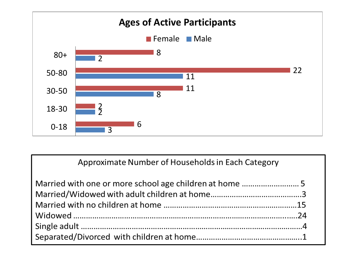

Approximate Number of Households in Each Category

| Married with one or more school age children at home  5 |  |
|---------------------------------------------------------|--|
|                                                         |  |
|                                                         |  |
|                                                         |  |
|                                                         |  |
|                                                         |  |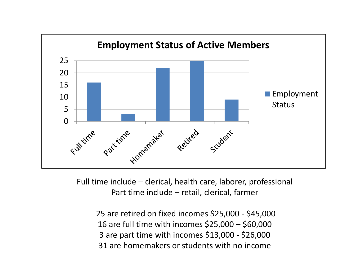

Full time include – clerical, health care, laborer, professional Part time include – retail, clerical, farmer

25 are retired on fixed incomes \$25,000 - \$45,000 16 are full time with incomes \$25,000 – \$60,000 3 are part time with incomes \$13,000 - \$26,000 31 are homemakers or students with no income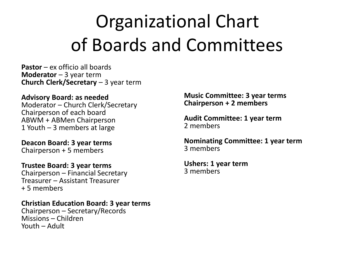## Organizational Chart of Boards and Committees

**Pastor** – ex officio all boards **Moderator** – 3 year term **Church Clerk/Secretary** – 3 year term

**Advisory Board: as needed** Moderator – Church Clerk/Secretary Chairperson of each board ABWM + ABMen Chairperson 1 Youth – 3 members at large

**Deacon Board: 3 year terms** Chairperson + 5 members

**Trustee Board: 3 year terms** Chairperson – Financial Secretary Treasurer – Assistant Treasurer + 5 members

**Christian Education Board: 3 year terms** Chairperson – Secretary/Records Missions – Children Youth – Adult

**Music Committee: 3 year terms Chairperson + 2 members**

**Audit Committee: 1 year term**  2 members

**Nominating Committee: 1 year term**  3 members

**Ushers: 1 year term** 3 members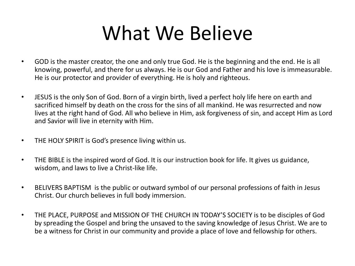## What We Believe

- GOD is the master creator, the one and only true God. He is the beginning and the end. He is all knowing, powerful, and there for us always. He is our God and Father and his love is immeasurable. He is our protector and provider of everything. He is holy and righteous.
- JESUS is the only Son of God. Born of a virgin birth, lived a perfect holy life here on earth and sacrificed himself by death on the cross for the sins of all mankind. He was resurrected and now lives at the right hand of God. All who believe in Him, ask forgiveness of sin, and accept Him as Lord and Savior will live in eternity with Him.
- THE HOLY SPIRIT is God's presence living within us.
- THE BIBLE is the inspired word of God. It is our instruction book for life. It gives us guidance, wisdom, and laws to live a Christ-like life.
- BELIVERS BAPTISM is the public or outward symbol of our personal professions of faith in Jesus Christ. Our church believes in full body immersion.
- THE PLACE, PURPOSE and MISSION OF THE CHURCH IN TODAY'S SOCIETY is to be disciples of God by spreading the Gospel and bring the unsaved to the saving knowledge of Jesus Christ. We are to be a witness for Christ in our community and provide a place of love and fellowship for others.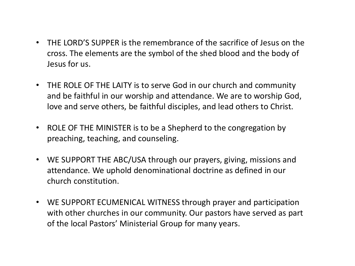- THE LORD'S SUPPER is the remembrance of the sacrifice of Jesus on the cross. The elements are the symbol of the shed blood and the body of Jesus for us.
- THE ROLE OF THE LAITY is to serve God in our church and community and be faithful in our worship and attendance. We are to worship God, love and serve others, be faithful disciples, and lead others to Christ.
- ROLE OF THE MINISTER is to be a Shepherd to the congregation by preaching, teaching, and counseling.
- WE SUPPORT THE ABC/USA through our prayers, giving, missions and attendance. We uphold denominational doctrine as defined in our church constitution.
- WE SUPPORT ECUMENICAL WITNESS through prayer and participation with other churches in our community. Our pastors have served as part of the local Pastors' Ministerial Group for many years.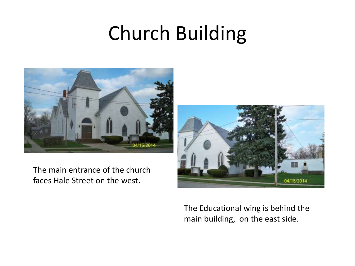# Church Building



The main entrance of the church faces Hale Street on the west.



The Educational wing is behind the main building, on the east side.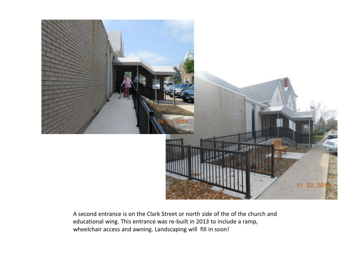

A second entrance is on the Clark Street or north side of the of the church and educational wing. This entrance was re-built in 2013 to include a ramp, wheelchair access and awning. Landscaping will fill in soon!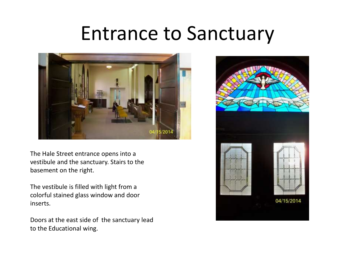### Entrance to Sanctuary



The Hale Street entrance opens into a vestibule and the sanctuary. Stairs to the basement on the right.

The vestibule is filled with light from a colorful stained glass window and door inserts.

Doors at the east side of the sanctuary lead to the Educational wing.

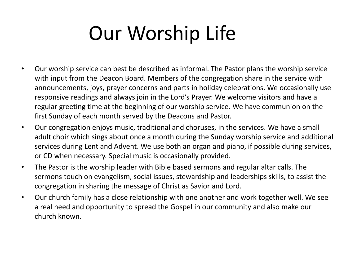# Our Worship Life

- Our worship service can best be described as informal. The Pastor plans the worship service with input from the Deacon Board. Members of the congregation share in the service with announcements, joys, prayer concerns and parts in holiday celebrations. We occasionally use responsive readings and always join in the Lord's Prayer. We welcome visitors and have a regular greeting time at the beginning of our worship service. We have communion on the first Sunday of each month served by the Deacons and Pastor.
- Our congregation enjoys music, traditional and choruses, in the services. We have a small adult choir which sings about once a month during the Sunday worship service and additional services during Lent and Advent. We use both an organ and piano, if possible during services, or CD when necessary. Special music is occasionally provided.
- The Pastor is the worship leader with Bible based sermons and regular altar calls. The sermons touch on evangelism, social issues, stewardship and leaderships skills, to assist the congregation in sharing the message of Christ as Savior and Lord.
- Our church family has a close relationship with one another and work together well. We see a real need and opportunity to spread the Gospel in our community and also make our church known.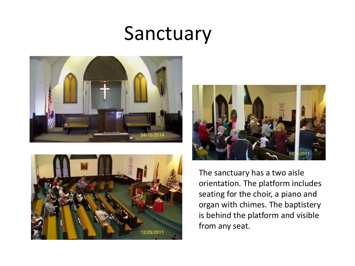## Sanctuary







The sanctuary has a two aisle orientation. The platform includes seating for the choir, a piano and organ with chimes. The baptistery is behind the platform and visible from any seat.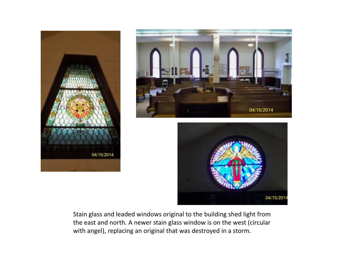



04/15/2014

Stain glass and leaded windows original to the building shed light from the east and north. A newer stain glass window is on the west (circular with angel), replacing an original that was destroyed in a storm.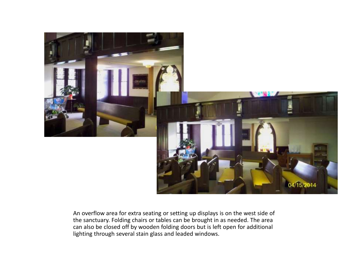

An overflow area for extra seating or setting up displays is on the west side of the sanctuary. Folding chairs or tables can be brought in as needed. The area can also be closed off by wooden folding doors but is left open for additional lighting through several stain glass and leaded windows.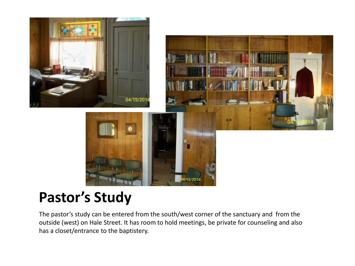

### **Pastor's Study**

The pastor's study can be entered from the south/west corner of the sanctuary and from the outside (west) on Hale Street. It has room to hold meetings, be private for counseling and also has a closet/entrance to the baptistery.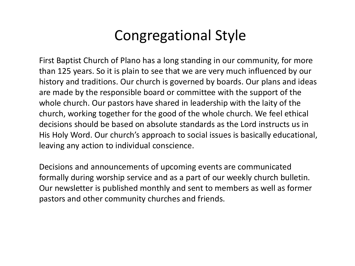### Congregational Style

First Baptist Church of Plano has a long standing in our community, for more than 125 years. So it is plain to see that we are very much influenced by our history and traditions. Our church is governed by boards. Our plans and ideas are made by the responsible board or committee with the support of the whole church. Our pastors have shared in leadership with the laity of the church, working together for the good of the whole church. We feel ethical decisions should be based on absolute standards as the Lord instructs us in His Holy Word. Our church's approach to social issues is basically educational, leaving any action to individual conscience.

Decisions and announcements of upcoming events are communicated formally during worship service and as a part of our weekly church bulletin. Our newsletter is published monthly and sent to members as well as former pastors and other community churches and friends.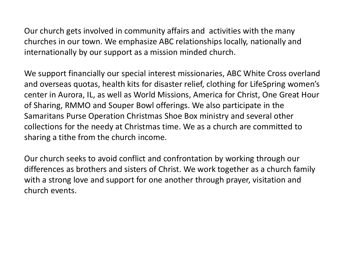Our church gets involved in community affairs and activities with the many churches in our town. We emphasize ABC relationships locally, nationally and internationally by our support as a mission minded church.

We support financially our special interest missionaries, ABC White Cross overland and overseas quotas, health kits for disaster relief, clothing for LifeSpring women's center in Aurora, IL, as well as World Missions, America for Christ, One Great Hour of Sharing, RMMO and Souper Bowl offerings. We also participate in the Samaritans Purse Operation Christmas Shoe Box ministry and several other collections for the needy at Christmas time. We as a church are committed to sharing a tithe from the church income.

Our church seeks to avoid conflict and confrontation by working through our differences as brothers and sisters of Christ. We work together as a church family with a strong love and support for one another through prayer, visitation and church events.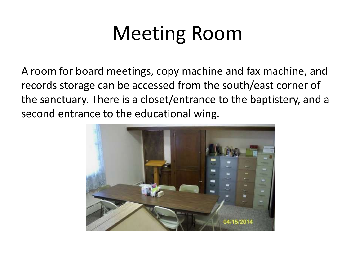# Meeting Room

A room for board meetings, copy machine and fax machine, and records storage can be accessed from the south/east corner of the sanctuary. There is a closet/entrance to the baptistery, and a second entrance to the educational wing.

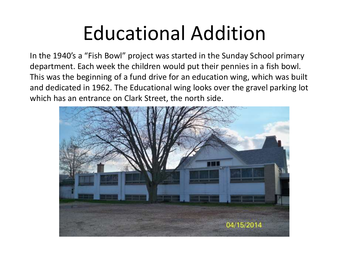# Educational Addition

In the 1940's a "Fish Bowl" project was started in the Sunday School primary department. Each week the children would put their pennies in a fish bowl. This was the beginning of a fund drive for an education wing, which was built and dedicated in 1962. The Educational wing looks over the gravel parking lot which has an entrance on Clark Street, the north side.

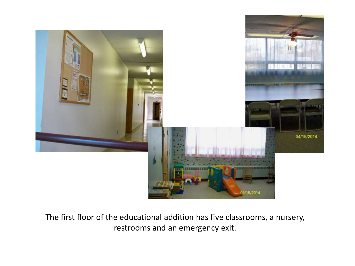

The first floor of the educational addition has five classrooms, a nursery, restrooms and an emergency exit.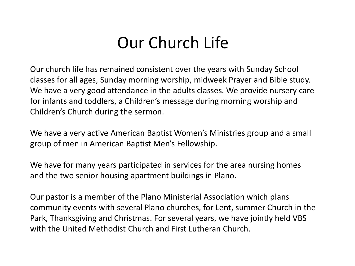### Our Church Life

Our church life has remained consistent over the years with Sunday School classes for all ages, Sunday morning worship, midweek Prayer and Bible study. We have a very good attendance in the adults classes. We provide nursery care for infants and toddlers, a Children's message during morning worship and Children's Church during the sermon.

We have a very active American Baptist Women's Ministries group and a small group of men in American Baptist Men's Fellowship.

We have for many years participated in services for the area nursing homes and the two senior housing apartment buildings in Plano.

Our pastor is a member of the Plano Ministerial Association which plans community events with several Plano churches, for Lent, summer Church in the Park, Thanksgiving and Christmas. For several years, we have jointly held VBS with the United Methodist Church and First Lutheran Church.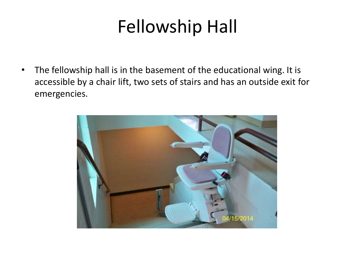### Fellowship Hall

• The fellowship hall is in the basement of the educational wing. It is accessible by a chair lift, two sets of stairs and has an outside exit for emergencies.

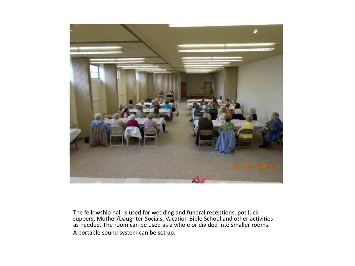

The fellowship hall is used for wedding and funeral receptions, pot luck suppers, Mother/Daughter Socials, Vacation Bible School and other activities as needed. The room can be used as a whole or divided into smaller rooms. A portable sound system can be set up.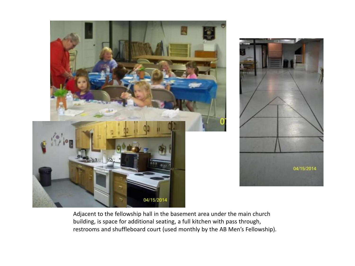



Adjacent to the fellowship hall in the basement area under the main church building, is space for additional seating, a full kitchen with pass through, restrooms and shuffleboard court (used monthly by the AB Men's Fellowship).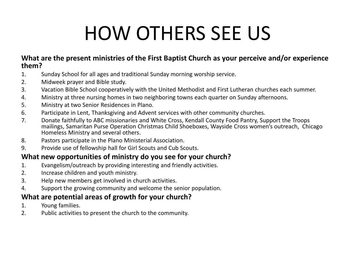# HOW OTHERS SEE US

### **What are the present ministries of the First Baptist Church as your perceive and/or experience them?**

- 1. Sunday School for all ages and traditional Sunday morning worship service.
- 2. Midweek prayer and Bible study.
- 3. Vacation Bible School cooperatively with the United Methodist and First Lutheran churches each summer.
- 4. Ministry at three nursing homes in two neighboring towns each quarter on Sunday afternoons.
- 5. Ministry at two Senior Residences in Plano.
- 6. Participate in Lent, Thanksgiving and Advent services with other community churches.
- 7. Donate faithfully to ABC missionaries and White Cross, Kendall County Food Pantry, Support the Troops mailings, Samaritan Purse Operation Christmas Child Shoeboxes, Wayside Cross women's outreach, Chicago Homeless Ministry and several others.
- 8. Pastors participate in the Plano Ministerial Association.
- 9. Provide use of fellowship hall for Girl Scouts and Cub Scouts.

### **What new opportunities of ministry do you see for your church?**

- 1. Evangelism/outreach by providing interesting and friendly activities.
- 2. Increase children and youth ministry.
- 3. Help new members get involved in church activities.
- 4. Support the growing community and welcome the senior population.

### **What are potential areas of growth for your church?**

- 1. Young families.
- 2. Public activities to present the church to the community.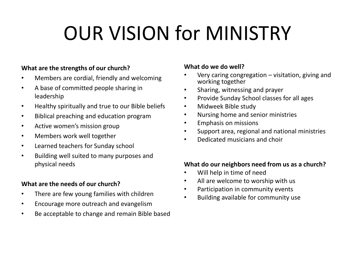# OUR VISION for MINISTRY

### **What are the strengths of our church?**

- Members are cordial, friendly and welcoming
- A base of committed people sharing in leadership
- Healthy spiritually and true to our Bible beliefs
- Biblical preaching and education program
- Active women's mission group
- Members work well together
- Learned teachers for Sunday school
- Building well suited to many purposes and physical needs

### **What are the needs of our church?**

- There are few young families with children
- Encourage more outreach and evangelism
- Be acceptable to change and remain Bible based

### **What do we do well?**

- Very caring congregation  $-$  visitation, giving and working together
- Sharing, witnessing and prayer
- Provide Sunday School classes for all ages
- Midweek Bible study
- Nursing home and senior ministries
- Emphasis on missions
- Support area, regional and national ministries
- Dedicated musicians and choir

### **What do our neighbors need from us as a church?**

- Will help in time of need
- All are welcome to worship with us
- Participation in community events
- Building available for community use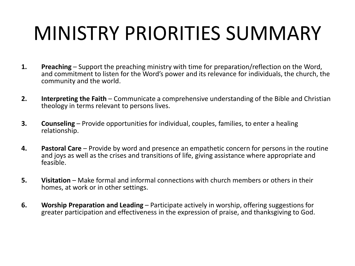# MINISTRY PRIORITIES SUMMARY

- **1. Preaching** Support the preaching ministry with time for preparation/reflection on the Word, and commitment to listen for the Word's power and its relevance for individuals, the church, the community and the world.
- **2. Interpreting the Faith**  Communicate a comprehensive understanding of the Bible and Christian theology in terms relevant to persons lives.
- **3. Counseling** Provide opportunities for individual, couples, families, to enter a healing relationship.
- **4. Pastoral Care**  Provide by word and presence an empathetic concern for persons in the routine and joys as well as the crises and transitions of life, giving assistance where appropriate and feasible.
- **5. Visitation** Make formal and informal connections with church members or others in their homes, at work or in other settings.
- **6. Worship Preparation and Leading** Participate actively in worship, offering suggestions for greater participation and effectiveness in the expression of praise, and thanksgiving to God.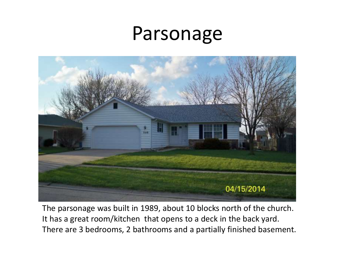### Parsonage



The parsonage was built in 1989, about 10 blocks north of the church. It has a great room/kitchen that opens to a deck in the back yard. There are 3 bedrooms, 2 bathrooms and a partially finished basement.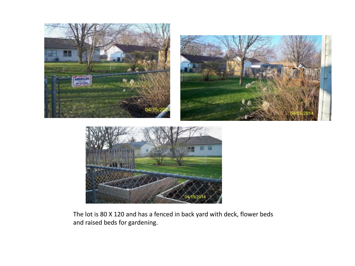

The lot is 80 X 120 and has a fenced in back yard with deck, flower beds and raised beds for gardening.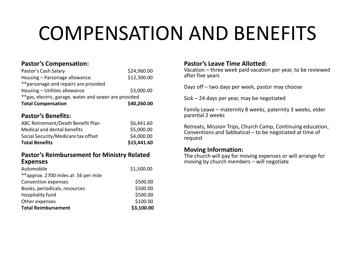# COMPENSATION AND BENEFITS

### **Pastor's Compensation:**

| Pastor's Cash Salary                                   | \$24,960.00 |  |
|--------------------------------------------------------|-------------|--|
| Housing - Parsonage allowance                          | \$12,300.00 |  |
| ** parsonage and repairs are provided                  |             |  |
| Housing - Utilities allowance                          | \$3,000.00  |  |
| ** gas, electric, garage, water and sewer are provided |             |  |
| <b>Total Compensation</b>                              | \$40,260.00 |  |

### **Pastor's Benefits:**

| <b>Total Benefits</b>               | \$15,441.60 |
|-------------------------------------|-------------|
| Social Security/Medicare tax offset | \$4,000.00  |
| Medical and dental benefits         | \$5,000.00  |
| ABC Retirement/Death Benefit Plan   | \$6,441.60  |

#### **Pastor's Reimbursement for Ministry Related Expenses**

| Automobile                           | \$1,500.00 |
|--------------------------------------|------------|
| **approx. 2700 miles at .56 per mile |            |
| Convention expenses                  | \$500.00   |
| Books, periodicals, resources        | \$500.00   |
| Hospitality fund                     | \$500.00   |
| Other expenses                       | \$100.00   |
| <b>Total Reimbursement</b>           | \$3,100.00 |

#### **Pastor's Leave Time Allotted:**

Vacation – three week paid vacation per year, to be reviewed after five years

Days off – two days per week, pastor may choose

Sick – 24 days per year, may be negotiated

Family Leave – maternity 8 weeks, paternity 3 weeks, elder parental 2 weeks

Retreats, Mission Trips, Church Camp, Continuing education, Conventions and Sabbatical – to be negotiated at time of request

#### **Moving Information:**

The church will pay for moving expenses or will arrange for moving by church members – will negotiate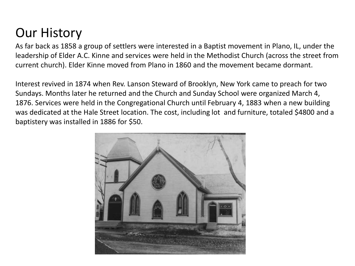### Our History

As far back as 1858 a group of settlers were interested in a Baptist movement in Plano, IL, under the leadership of Elder A.C. Kinne and services were held in the Methodist Church (across the street from current church). Elder Kinne moved from Plano in 1860 and the movement became dormant.

Interest revived in 1874 when Rev. Lanson Steward of Brooklyn, New York came to preach for two Sundays. Months later he returned and the Church and Sunday School were organized March 4, 1876. Services were held in the Congregational Church until February 4, 1883 when a new building was dedicated at the Hale Street location. The cost, including lot and furniture, totaled \$4800 and a baptistery was installed in 1886 for \$50.

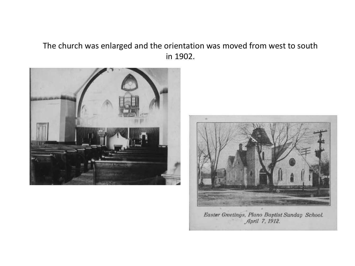### The church was enlarged and the orientation was moved from west to south in 1902.





Easter Greetings, Plano Baptist Sunday School. April 7, 1912.